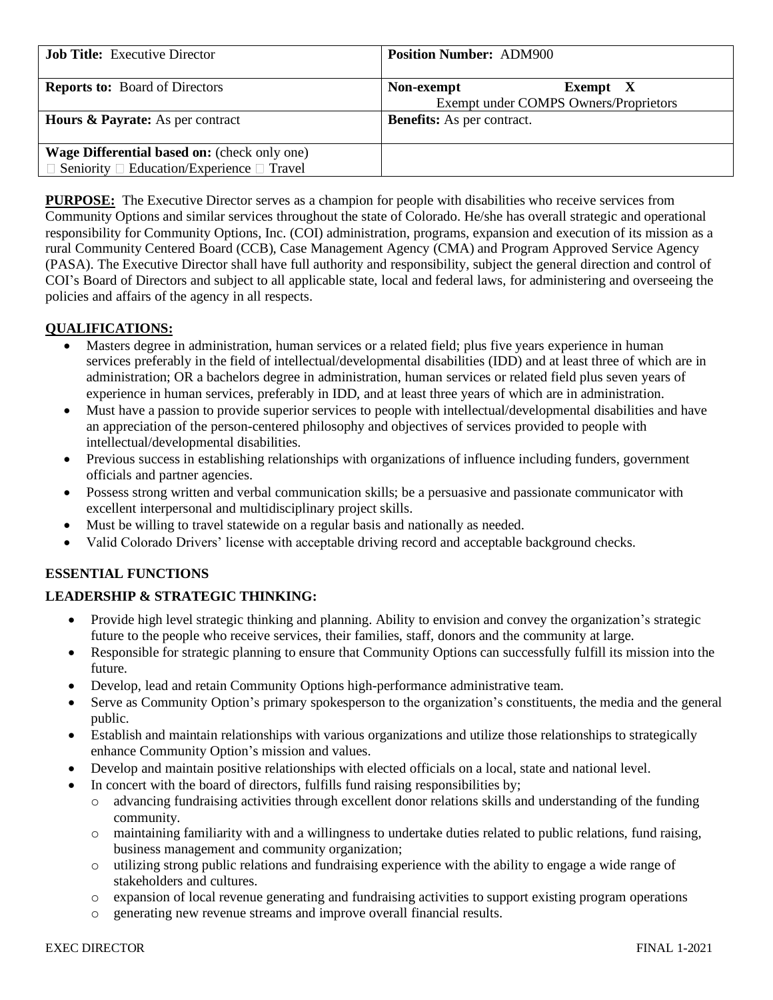| <b>Job Title:</b> Executive Director                                                                              | <b>Position Number: ADM900</b>                                  |
|-------------------------------------------------------------------------------------------------------------------|-----------------------------------------------------------------|
| <b>Reports to:</b> Board of Directors                                                                             | Non-exempt<br>Exempt X<br>Exempt under COMPS Owners/Proprietors |
| <b>Hours &amp; Payrate:</b> As per contract                                                                       | <b>Benefits:</b> As per contract.                               |
| <b>Wage Differential based on:</b> (check only one)<br>$\Box$ Seniority $\Box$ Education/Experience $\Box$ Travel |                                                                 |

**PURPOSE:** The Executive Director serves as a champion for people with disabilities who receive services from Community Options and similar services throughout the state of Colorado. He/she has overall strategic and operational responsibility for Community Options, Inc. (COI) administration, programs, expansion and execution of its mission as a rural Community Centered Board (CCB), Case Management Agency (CMA) and Program Approved Service Agency (PASA). The Executive Director shall have full authority and responsibility, subject the general direction and control of COI's Board of Directors and subject to all applicable state, local and federal laws, for administering and overseeing the policies and affairs of the agency in all respects.

## **QUALIFICATIONS:**

- Masters degree in administration, human services or a related field; plus five years experience in human services preferably in the field of intellectual/developmental disabilities (IDD) and at least three of which are in administration; OR a bachelors degree in administration, human services or related field plus seven years of experience in human services, preferably in IDD, and at least three years of which are in administration.
- Must have a passion to provide superior services to people with intellectual/developmental disabilities and have an appreciation of the person-centered philosophy and objectives of services provided to people with intellectual/developmental disabilities.
- Previous success in establishing relationships with organizations of influence including funders, government officials and partner agencies.
- Possess strong written and verbal communication skills; be a persuasive and passionate communicator with excellent interpersonal and multidisciplinary project skills.
- Must be willing to travel statewide on a regular basis and nationally as needed.
- Valid Colorado Drivers' license with acceptable driving record and acceptable background checks.

## **ESSENTIAL FUNCTIONS**

### **LEADERSHIP & STRATEGIC THINKING:**

- Provide high level strategic thinking and planning. Ability to envision and convey the organization's strategic future to the people who receive services, their families, staff, donors and the community at large.
- Responsible for strategic planning to ensure that Community Options can successfully fulfill its mission into the future.
- Develop, lead and retain Community Options high-performance administrative team.
- Serve as Community Option's primary spokesperson to the organization's constituents, the media and the general public.
- Establish and maintain relationships with various organizations and utilize those relationships to strategically enhance Community Option's mission and values.
- Develop and maintain positive relationships with elected officials on a local, state and national level.
- In concert with the board of directors, fulfills fund raising responsibilities by;
	- o advancing fundraising activities through excellent donor relations skills and understanding of the funding community.
	- o maintaining familiarity with and a willingness to undertake duties related to public relations, fund raising, business management and community organization;
	- o utilizing strong public relations and fundraising experience with the ability to engage a wide range of stakeholders and cultures.
	- o expansion of local revenue generating and fundraising activities to support existing program operations
	- o generating new revenue streams and improve overall financial results.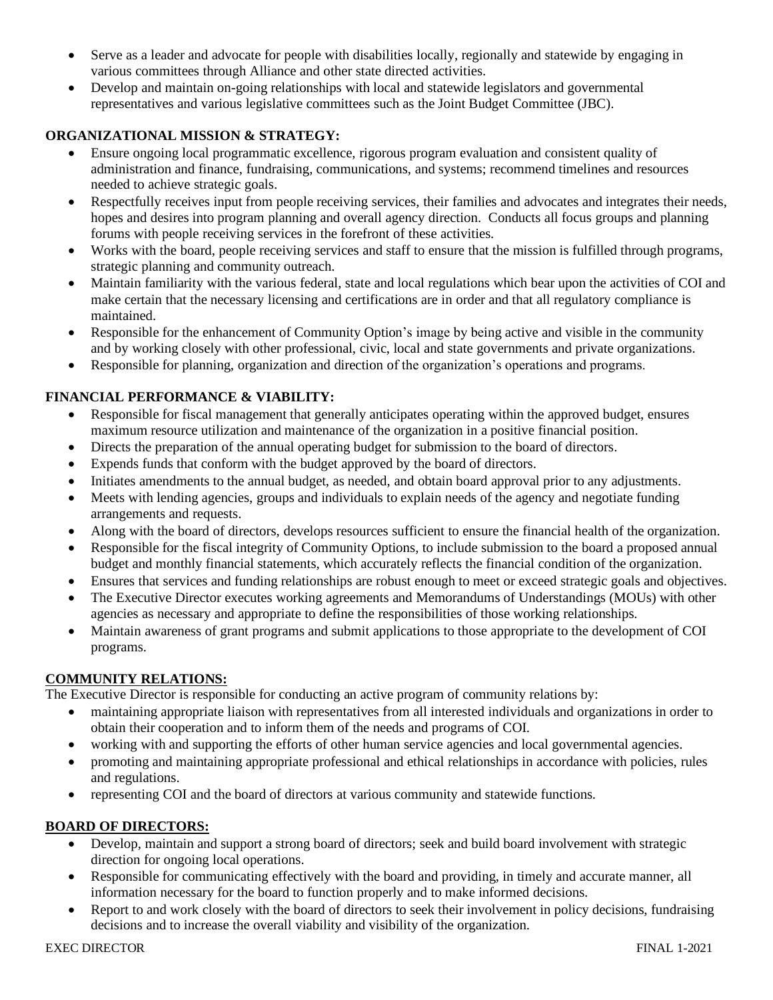- Serve as a leader and advocate for people with disabilities locally, regionally and statewide by engaging in various committees through Alliance and other state directed activities.
- Develop and maintain on-going relationships with local and statewide legislators and governmental representatives and various legislative committees such as the Joint Budget Committee (JBC).

# **ORGANIZATIONAL MISSION & STRATEGY:**

- Ensure ongoing local programmatic excellence, rigorous program evaluation and consistent quality of administration and finance, fundraising, communications, and systems; recommend timelines and resources needed to achieve strategic goals.
- Respectfully receives input from people receiving services, their families and advocates and integrates their needs, hopes and desires into program planning and overall agency direction. Conducts all focus groups and planning forums with people receiving services in the forefront of these activities.
- Works with the board, people receiving services and staff to ensure that the mission is fulfilled through programs, strategic planning and community outreach.
- Maintain familiarity with the various federal, state and local regulations which bear upon the activities of COI and make certain that the necessary licensing and certifications are in order and that all regulatory compliance is maintained.
- Responsible for the enhancement of Community Option's image by being active and visible in the community and by working closely with other professional, civic, local and state governments and private organizations.
- Responsible for planning, organization and direction of the organization's operations and programs.

## **FINANCIAL PERFORMANCE & VIABILITY:**

- Responsible for fiscal management that generally anticipates operating within the approved budget, ensures maximum resource utilization and maintenance of the organization in a positive financial position.
- Directs the preparation of the annual operating budget for submission to the board of directors.
- Expends funds that conform with the budget approved by the board of directors.
- Initiates amendments to the annual budget, as needed, and obtain board approval prior to any adjustments.
- Meets with lending agencies, groups and individuals to explain needs of the agency and negotiate funding arrangements and requests.
- Along with the board of directors, develops resources sufficient to ensure the financial health of the organization.
- Responsible for the fiscal integrity of Community Options, to include submission to the board a proposed annual budget and monthly financial statements, which accurately reflects the financial condition of the organization.
- Ensures that services and funding relationships are robust enough to meet or exceed strategic goals and objectives.
- The Executive Director executes working agreements and Memorandums of Understandings (MOUs) with other agencies as necessary and appropriate to define the responsibilities of those working relationships.
- Maintain awareness of grant programs and submit applications to those appropriate to the development of COI programs.

### **COMMUNITY RELATIONS:**

The Executive Director is responsible for conducting an active program of community relations by:

- maintaining appropriate liaison with representatives from all interested individuals and organizations in order to obtain their cooperation and to inform them of the needs and programs of COI.
- working with and supporting the efforts of other human service agencies and local governmental agencies.
- promoting and maintaining appropriate professional and ethical relationships in accordance with policies, rules and regulations.
- representing COI and the board of directors at various community and statewide functions.

## **BOARD OF DIRECTORS:**

- Develop, maintain and support a strong board of directors; seek and build board involvement with strategic direction for ongoing local operations.
- Responsible for communicating effectively with the board and providing, in timely and accurate manner, all information necessary for the board to function properly and to make informed decisions.
- Report to and work closely with the board of directors to seek their involvement in policy decisions, fundraising decisions and to increase the overall viability and visibility of the organization.